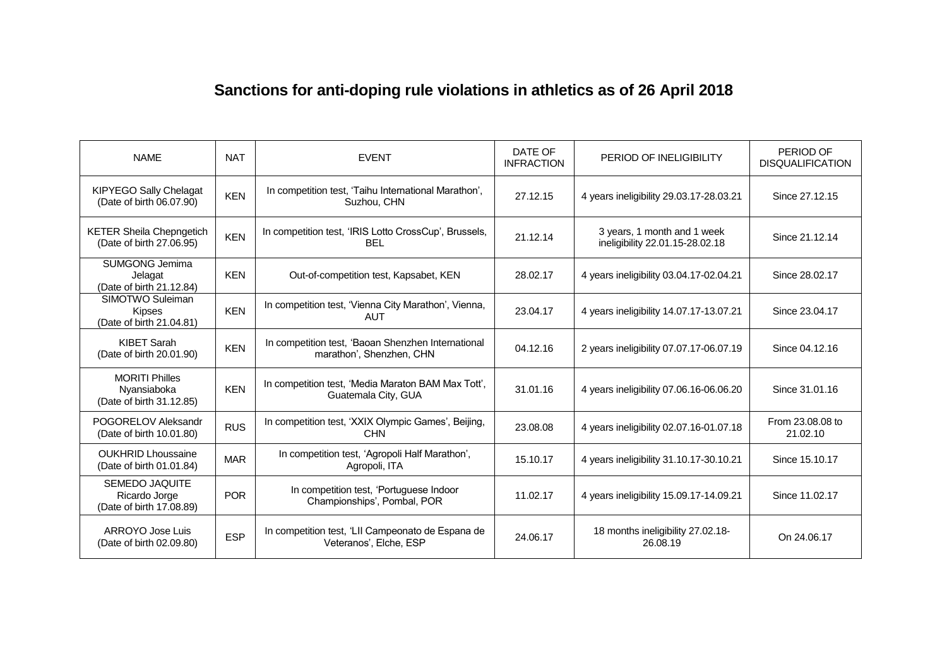## **Sanctions for anti-doping rule violations in athletics as of 26 April 2018**

| <b>NAME</b>                                                      | <b>NAT</b> | <b>EVENT</b>                                                                   | DATE OF<br><b>INFRACTION</b> | PERIOD OF INELIGIBILITY                                        | PERIOD OF<br><b>DISQUALIFICATION</b> |
|------------------------------------------------------------------|------------|--------------------------------------------------------------------------------|------------------------------|----------------------------------------------------------------|--------------------------------------|
| <b>KIPYEGO Sally Chelagat</b><br>(Date of birth 06.07.90)        | <b>KEN</b> | In competition test, 'Taihu International Marathon',<br>Suzhou, CHN            | 27.12.15                     | 4 years ineligibility 29.03.17-28.03.21                        | Since 27.12.15                       |
| <b>KETER Sheila Chepngetich</b><br>(Date of birth 27.06.95)      | <b>KEN</b> | In competition test, 'IRIS Lotto CrossCup', Brussels,<br><b>BEL</b>            | 21.12.14                     | 3 years, 1 month and 1 week<br>ineligibility 22.01.15-28.02.18 | Since 21.12.14                       |
| SUMGONG Jemima<br>Jelagat<br>(Date of birth 21.12.84)            | <b>KEN</b> | Out-of-competition test, Kapsabet, KEN                                         | 28.02.17                     | 4 years ineligibility 03.04.17-02.04.21                        | Since 28.02.17                       |
| SIMOTWO Suleiman<br><b>Kipses</b><br>(Date of birth 21.04.81)    | <b>KEN</b> | In competition test, 'Vienna City Marathon', Vienna,<br><b>AUT</b>             | 23.04.17                     | 4 years ineligibility 14.07.17-13.07.21                        | Since 23,04,17                       |
| <b>KIBET Sarah</b><br>(Date of birth 20.01.90)                   | <b>KEN</b> | In competition test, 'Baoan Shenzhen International<br>marathon', Shenzhen, CHN | 04.12.16                     | 2 years ineligibility 07.07.17-06.07.19                        | Since 04.12.16                       |
| <b>MORITI Philles</b><br>Nyansiaboka<br>(Date of birth 31.12.85) | <b>KEN</b> | In competition test, 'Media Maraton BAM Max Tott',<br>Guatemala City, GUA      | 31.01.16                     | 4 years ineligibility 07.06.16-06.06.20                        | Since 31.01.16                       |
| POGORELOV Aleksandr<br>(Date of birth 10.01.80)                  | <b>RUS</b> | In competition test, 'XXIX Olympic Games', Beijing,<br><b>CHN</b>              | 23.08.08                     | 4 years ineligibility 02.07.16-01.07.18                        | From 23.08.08 to<br>21.02.10         |
| <b>OUKHRID Lhoussaine</b><br>(Date of birth 01.01.84)            | <b>MAR</b> | In competition test, 'Agropoli Half Marathon',<br>Agropoli, ITA                | 15.10.17                     | 4 years ineligibility 31.10.17-30.10.21                        | Since 15.10.17                       |
| SEMEDO JAQUITE<br>Ricardo Jorge<br>(Date of birth 17.08.89)      | <b>POR</b> | In competition test, 'Portuguese Indoor<br>Championships', Pombal, POR         | 11.02.17                     | 4 years ineligibility 15.09.17-14.09.21                        | Since 11.02.17                       |
| ARROYO Jose Luis<br>(Date of birth 02.09.80)                     | <b>ESP</b> | In competition test, 'LII Campeonato de Espana de<br>Veteranos', Elche, ESP    | 24.06.17                     | 18 months ineligibility 27.02.18-<br>26.08.19                  | On 24.06.17                          |